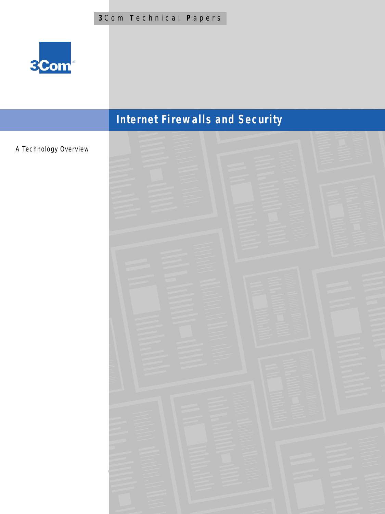

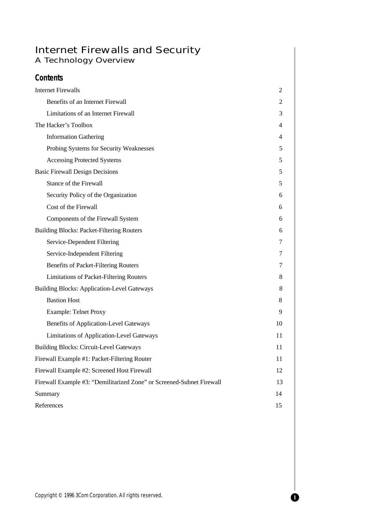# Internet Firewalls and Security A Technology Overview

| Contents                                                              |    |
|-----------------------------------------------------------------------|----|
| <b>Internet Firewalls</b>                                             | 2  |
| Benefits of an Internet Firewall                                      | 2  |
| Limitations of an Internet Firewall                                   | 3  |
| The Hacker's Toolbox                                                  | 4  |
| <b>Information Gathering</b>                                          | 4  |
| Probing Systems for Security Weaknesses                               | 5  |
| <b>Accessing Protected Systems</b>                                    | 5  |
| <b>Basic Firewall Design Decisions</b>                                | 5  |
| Stance of the Firewall                                                | 5  |
| Security Policy of the Organization                                   | 6  |
| Cost of the Firewall                                                  | 6  |
| Components of the Firewall System                                     | 6  |
| <b>Building Blocks: Packet-Filtering Routers</b>                      | 6  |
| Service-Dependent Filtering                                           | 7  |
| Service-Independent Filtering                                         | 7  |
| Benefits of Packet-Filtering Routers                                  | 7  |
| Limitations of Packet-Filtering Routers                               | 8  |
| <b>Building Blocks: Application-Level Gateways</b>                    | 8  |
| <b>Bastion Host</b>                                                   | 8  |
| <b>Example: Telnet Proxy</b>                                          | 9  |
| Benefits of Application-Level Gateways                                | 10 |
| Limitations of Application-Level Gateways                             | 11 |
| <b>Building Blocks: Circuit-Level Gateways</b>                        | 11 |
| Firewall Example #1: Packet-Filtering Router                          | 11 |
| Firewall Example #2: Screened Host Firewall                           | 12 |
| Firewall Example #3: "Demilitarized Zone" or Screened-Subnet Firewall | 13 |
| Summary                                                               | 14 |
| References                                                            | 15 |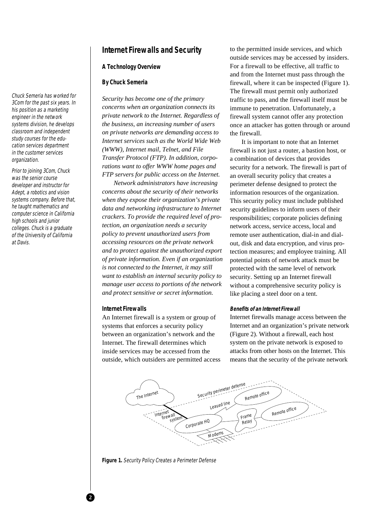**Internet Firewalls and Security**

#### **A Technology Overview**

## **By Chuck Semeria**

*Security has become one of the primary concerns when an organization connects its private network to the Internet. Regardless of the business, an increasing number of users on private networks are demanding access to Internet services such as the World Wide Web (WWW), Internet mail, Telnet, and File Transfer Protocol (FTP). In addition, corporations want to offer WWW home pages and FTP servers for public access on the Internet.*

*Network administrators have increasing concerns about the security of their networks when they expose their organization's private data and networking infrastructure to Internet crackers. To provide the required level of protection, an organization needs a security policy to prevent unauthorized users from accessing resources on the private network and to protect against the unauthorized export of private information. Even if an organization is not connected to the Internet, it may still want to establish an internal security policy to manage user access to portions of the network and protect sensitive or secret information.*

#### **Internet Firewalls**

**2**

An Internet firewall is a system or group of systems that enforces a security policy between an organization's network and the Internet. The firewall determines which inside services may be accessed from the outside, which outsiders are permitted access to the permitted inside services, and which outside services may be accessed by insiders. For a firewall to be effective, all traffic to and from the Internet must pass through the firewall, where it can be inspected (Figure 1). The firewall must permit only authorized traffic to pass, and the firewall itself must be immune to penetration. Unfortunately, a firewall system cannot offer any protection once an attacker has gotten through or around the firewall.

It is important to note that an Internet firewall is not just a router, a bastion host, or a combination of devices that provides security for a network. The firewall is part of an overall security policy that creates a perimeter defense designed to protect the information resources of the organization. This security policy must include published security guidelines to inform users of their responsibilities; corporate policies defining network access, service access, local and remote user authentication, dial-in and dialout, disk and data encryption, and virus protection measures; and employee training. All potential points of network attack must be protected with the same level of network security. Setting up an Internet firewall without a comprehensive security policy is like placing a steel door on a tent.

#### **Benefits of an Internet Firewall**

Internet firewalls manage access between the Internet and an organization's private network (Figure 2). Without a firewall, each host system on the private network is exposed to attacks from other hosts on the Internet. This means that the security of the private network



**Figure 1.** Security Policy Creates a Perimeter Defense

Chuck Semeria has worked for 3Com for the past six years. In his position as a marketing engineer in the network systems division, he develops classroom and independent study courses for the education services department in the customer services organization.

Prior to joining 3Com, Chuck was the senior course developer and instructor for Adept, a robotics and vision systems company. Before that, he taught mathematics and computer science in California high schools and junior colleges. Chuck is a graduate of the University of California at Davis.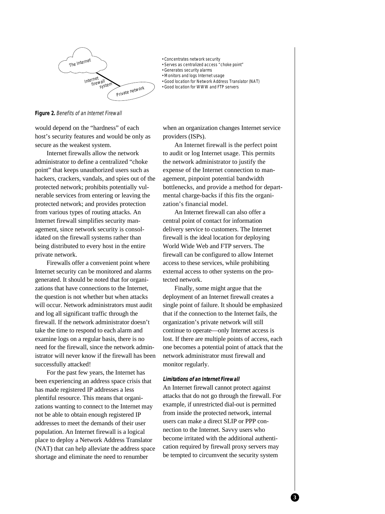

• Concentrates network security

- Serves as centralized access "choke point"
- Generates security alarms • Monitors and logs Internet usage
- Good location for Network Address Translator (NAT)
- Good location for WWW and FTP servers

**Figure 2.** Benefits of an Internet Firewall

would depend on the "hardness" of each host's security features and would be only as secure as the weakest system.

Internet firewalls allow the network administrator to define a centralized "choke point" that keeps unauthorized users such as hackers, crackers, vandals, and spies out of the protected network; prohibits potentially vulnerable services from entering or leaving the protected network; and provides protection from various types of routing attacks. An Internet firewall simplifies security management, since network security is consolidated on the firewall systems rather than being distributed to every host in the entire private network.

Firewalls offer a convenient point where Internet security can be monitored and alarms generated. It should be noted that for organizations that have connections to the Internet, the question is not whether but when attacks will occur. Network administrators must audit and log all significant traffic through the firewall. If the network administrator doesn't take the time to respond to each alarm and examine logs on a regular basis, there is no need for the firewall, since the network administrator will never know if the firewall has been successfully attacked!

For the past few years, the Internet has been experiencing an address space crisis that has made registered IP addresses a less plentiful resource. This means that organizations wanting to connect to the Internet may not be able to obtain enough registered IP addresses to meet the demands of their user population. An Internet firewall is a logical place to deploy a Network Address Translator (NAT) that can help alleviate the address space shortage and eliminate the need to renumber

when an organization changes Internet service providers (ISPs).

An Internet firewall is the perfect point to audit or log Internet usage. This permits the network administrator to justify the expense of the Internet connection to management, pinpoint potential bandwidth bottlenecks, and provide a method for departmental charge-backs if this fits the organization's financial model.

An Internet firewall can also offer a central point of contact for information delivery service to customers. The Internet firewall is the ideal location for deploying World Wide Web and FTP servers. The firewall can be configured to allow Internet access to these services, while prohibiting external access to other systems on the protected network.

Finally, some might argue that the deployment of an Internet firewall creates a single point of failure. It should be emphasized that if the connection to the Internet fails, the organization's private network will still continue to operate—only Internet access is lost. If there are multiple points of access, each one becomes a potential point of attack that the network administrator must firewall and monitor regularly.

#### **Limitations of an Internet Firewall**

An Internet firewall cannot protect against attacks that do not go through the firewall. For example, if unrestricted dial-out is permitted from inside the protected network, internal users can make a direct SLIP or PPP connection to the Internet. Savvy users who become irritated with the additional authentication required by firewall proxy servers may be tempted to circumvent the security system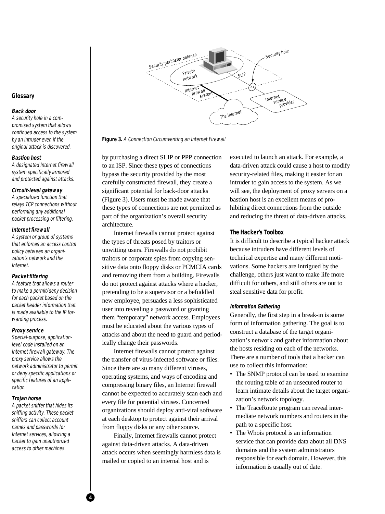

**Figure 3.** A Connection Circumventing an Internet Firewall

by purchasing a direct SLIP or PPP connection to an ISP. Since these types of connections bypass the security provided by the most carefully constructed firewall, they create a significant potential for back-door attacks (Figure 3). Users must be made aware that these types of connections are not permitted as part of the organization's overall security architecture.

Internet firewalls cannot protect against the types of threats posed by traitors or unwitting users. Firewalls do not prohibit traitors or corporate spies from copying sensitive data onto floppy disks or PCMCIA cards and removing them from a building. Firewalls do not protect against attacks where a hacker, pretending to be a supervisor or a befuddled new employee, persuades a less sophisticated user into revealing a password or granting them "temporary" network access. Employees must be educated about the various types of attacks and about the need to guard and periodically change their passwords.

Internet firewalls cannot protect against the transfer of virus-infected software or files. Since there are so many different viruses, operating systems, and ways of encoding and compressing binary files, an Internet firewall cannot be expected to accurately scan each and every file for potential viruses. Concerned organizations should deploy anti-viral software at each desktop to protect against their arrival from floppy disks or any other source.

Finally, Internet firewalls cannot protect against data-driven attacks. A data-driven attack occurs when seemingly harmless data is mailed or copied to an internal host and is

executed to launch an attack. For example, a data-driven attack could cause a host to modify security-related files, making it easier for an intruder to gain access to the system. As we will see, the deployment of proxy servers on a bastion host is an excellent means of prohibiting direct connections from the outside and reducing the threat of data-driven attacks.

#### **The Hacker's Toolbox**

It is difficult to describe a typical hacker attack because intruders have different levels of technical expertise and many different motivations. Some hackers are intrigued by the challenge, others just want to make life more difficult for others, and still others are out to steal sensitive data for profit.

#### **Information Gathering**

Generally, the first step in a break-in is some form of information gathering. The goal is to construct a database of the target organization's network and gather information about the hosts residing on each of the networks. There are a number of tools that a hacker can use to collect this information:

- The SNMP protocol can be used to examine the routing table of an unsecured router to learn intimate details about the target organization's network topology.
- The TraceRoute program can reveal intermediate network numbers and routers in the path to a specific host.
- The Whois protocol is an information service that can provide data about all DNS domains and the system administrators responsible for each domain. However, this information is usually out of date.

## **Glossary**

#### **Back door**

A security hole in a compromised system that allows continued access to the system by an intruder even if the original attack is discovered.

# **Bastion host**

A designated Internet firewall system specifically armored and protected against attacks.

**Circuit-level gateway** A specialized function that relays TCP connections without performing any additional packet processing or filtering.

## **Internet firewall**

A system or group of systems that enforces an access control policy between an organization's network and the Internet.

#### **Packet filtering**

A feature that allows a router to make a permit/deny decision for each packet based on the packet header information that is made available to the IP forwarding process.

#### **Proxy service**

Special-purpose, applicationlevel code installed on an Internet firewall gateway. The proxy service allows the network administrator to permit or deny specific applications or specific features of an application.

#### **Trojan horse**

A packet sniffer that hides its sniffing activity. These packet sniffers can collect account names and passwords for Internet services, allowing a hacker to gain unauthorized access to other machines.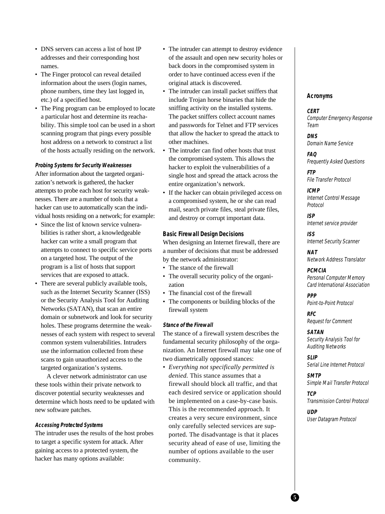- DNS servers can access a list of host IP addresses and their corresponding host names.
- The Finger protocol can reveal detailed information about the users (login names, phone numbers, time they last logged in, etc.) of a specified host.
- The Ping program can be employed to locate a particular host and determine its reachability. This simple tool can be used in a short scanning program that pings every possible host address on a network to construct a list of the hosts actually residing on the network.

**Probing Systems for Security Weaknesses** After information about the targeted organization's network is gathered, the hacker attempts to probe each host for security weaknesses. There are a number of tools that a hacker can use to automatically scan the individual hosts residing on a network; for example:

- Since the list of known service vulnerabilities is rather short, a knowledgeable hacker can write a small program that attempts to connect to specific service ports on a targeted host. The output of the program is a list of hosts that support services that are exposed to attack.
- There are several publicly available tools, such as the Internet Security Scanner (ISS) or the Security Analysis Tool for Auditing Networks (SATAN), that scan an entire domain or subnetwork and look for security holes. These programs determine the weaknesses of each system with respect to several common system vulnerabilities. Intruders use the information collected from these scans to gain unauthorized access to the targeted organization's systems.

A clever network administrator can use these tools within their private network to discover potential security weaknesses and determine which hosts need to be updated with new software patches.

#### **Accessing Protected Systems**

The intruder uses the results of the host probes to target a specific system for attack. After gaining access to a protected system, the hacker has many options available:

- The intruder can attempt to destroy evidence of the assault and open new security holes or back doors in the compromised system in order to have continued access even if the original attack is discovered.
- The intruder can install packet sniffers that include Trojan horse binaries that hide the sniffing activity on the installed systems. The packet sniffers collect account names and passwords for Telnet and FTP services that allow the hacker to spread the attack to other machines.
- The intruder can find other hosts that trust the compromised system. This allows the hacker to exploit the vulnerabilities of a single host and spread the attack across the entire organization's network.
- If the hacker can obtain privileged access on a compromised system, he or she can read mail, search private files, steal private files, and destroy or corrupt important data.

# **Basic Firewall Design Decisions**

When designing an Internet firewall, there are a number of decisions that must be addressed by the network administrator:

- The stance of the firewall
- The overall security policy of the organization
- The financial cost of the firewall
- The components or building blocks of the firewall system

#### **Stance of the Firewall**

The stance of a firewall system describes the fundamental security philosophy of the organization. An Internet firewall may take one of two diametrically opposed stances:

*• Everything not specifically permitted is denied.* This stance assumes that a firewall should block all traffic, and that each desired service or application should be implemented on a case-by-case basis. This is the recommended approach. It creates a very secure environment, since only carefully selected services are supported. The disadvantage is that it places security ahead of ease of use, limiting the number of options available to the user community.

## **Acronyms**

**CERT** Computer Emergency Response Team **DNS**

Domain Name Service

**FAQ** Frequently Asked Questions

**FTP** File Transfer Protocol

**ICMP** Internet Control Message Protocol

**ISP** Internet service provider

**ISS** Internet Security Scanner

**NAT** Network Address Translator

**PCMCIA** Personal Computer Memory Card International Association

**PPP** Point-to-Point Protocol

**RFC** Request for Comment

**SATAN** Security Analysis Tool for Auditing Networks

**SLIP** Serial Line Internet Protocol

**SMTP** Simple Mail Transfer Protocol

**TCP** Transmission Control Protocol

**UDP** User Datagram Protocol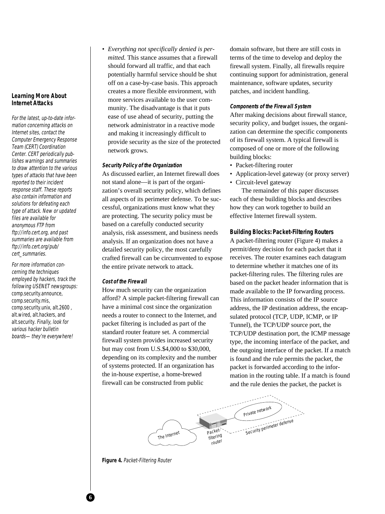## **Learning More About Internet Attacks**

For the latest, up-to-date information concerning attacks on Internet sites, contact the Computer Emergency Response Team (CERT) Coordination Center. CERT periodically publishes warnings and summaries to draw attention to the various types of attacks that have been reported to their incident response staff. These reports also contain information and solutions for defeating each type of attack. New or updated files are available for anonymous FTP from ftp://info.cert.org, and past summaries are available from ftp://info.cert.org/pub/ cert\_summaries.

For more information concerning the techniques employed by hackers, track the following USENET newsgroups: comp.security.announce, comp.security.mis, comp.security.unix, alt.2600 , alt.wired, alt.hackers, and alt.security. Finally, look for various hacker bulletin boards—they're everywhere!

*• Everything not specifically denied is permitted.* This stance assumes that a firewall should forward all traffic, and that each potentially harmful service should be shut off on a case-by-case basis. This approach creates a more flexible environment, with more services available to the user community. The disadvantage is that it puts ease of use ahead of security, putting the network administrator in a reactive mode and making it increasingly difficult to provide security as the size of the protected network grows.

#### **Security Policy of the Organization**

As discussed earlier, an Internet firewall does not stand alone—it is part of the organization's overall security policy, which defines all aspects of its perimeter defense. To be successful, organizations must know what they are protecting. The security policy must be based on a carefully conducted security analysis, risk assessment, and business needs analysis. If an organization does not have a detailed security policy, the most carefully crafted firewall can be circumvented to expose the entire private network to attack.

#### **Cost of the Firewall**

How much security can the organization afford? A simple packet-filtering firewall can have a minimal cost since the organization needs a router to connect to the Internet, and packet filtering is included as part of the standard router feature set. A commercial firewall system provides increased security but may cost from U.S.\$4,000 to \$30,000, depending on its complexity and the number of systems protected. If an organization has the in-house expertise, a home-brewed firewall can be constructed from public

domain software, but there are still costs in terms of the time to develop and deploy the firewall system. Finally, all firewalls require continuing support for administration, general maintenance, software updates, security patches, and incident handling.

#### **Components of the Firewall System**

After making decisions about firewall stance, security policy, and budget issues, the organization can determine the specific components of its firewall system. A typical firewall is composed of one or more of the following building blocks:

- Packet-filtering router
- Application-level gateway (or proxy server)
- Circuit-level gateway

The remainder of this paper discusses each of these building blocks and describes how they can work together to build an effective Internet firewall system.

**Building Blocks: Packet-Filtering Routers** A packet-filtering router (Figure 4) makes a permit/deny decision for each packet that it receives. The router examines each datagram to determine whether it matches one of its packet-filtering rules. The filtering rules are based on the packet header information that is made available to the IP forwarding process. This information consists of the IP source address, the IP destination address, the encapsulated protocol (TCP, UDP, ICMP, or IP Tunnel), the TCP/UDP source port, the TCP/UDP destination port, the ICMP message type, the incoming interface of the packet, and the outgoing interface of the packet. If a match is found and the rule permits the packet, the packet is forwarded according to the information in the routing table. If a match is found and the rule denies the packet, the packet is



**Figure 4.** Packet-Filtering Router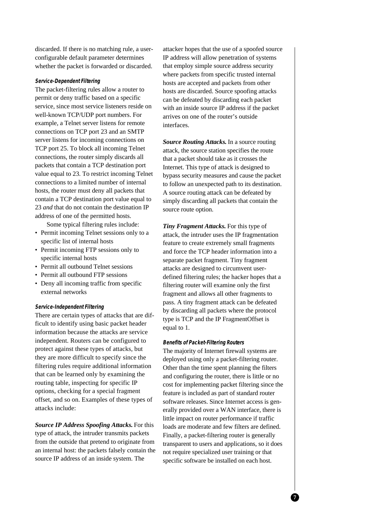discarded. If there is no matching rule, a userconfigurable default parameter determines whether the packet is forwarded or discarded.

#### **Service-Dependent Filtering**

The packet-filtering rules allow a router to permit or deny traffic based on a specific service, since most service listeners reside on well-known TCP/UDP port numbers. For example, a Telnet server listens for remote connections on TCP port 23 and an SMTP server listens for incoming connections on TCP port 25. To block all incoming Telnet connections, the router simply discards all packets that contain a TCP destination port value equal to 23. To restrict incoming Telnet connections to a limited number of internal hosts, the router must deny all packets that contain a TCP destination port value equal to 23 *and* that do not contain the destination IP address of one of the permitted hosts.

Some typical filtering rules include:

- Permit incoming Telnet sessions only to a specific list of internal hosts
- Permit incoming FTP sessions only to specific internal hosts
- Permit all outbound Telnet sessions
- Permit all outbound FTP sessions
- Deny all incoming traffic from specific external networks

## **Service-Independent Filtering**

There are certain types of attacks that are difficult to identify using basic packet header information because the attacks are service independent. Routers can be configured to protect against these types of attacks, but they are more difficult to specify since the filtering rules require additional information that can be learned only by examining the routing table, inspecting for specific IP options, checking for a special fragment offset, and so on. Examples of these types of attacks include:

*Source IP Address Spoofing Attacks.* For this type of attack, the intruder transmits packets from the outside that pretend to originate from an internal host: the packets falsely contain the source IP address of an inside system. The

attacker hopes that the use of a spoofed source IP address will allow penetration of systems that employ simple source address security where packets from specific trusted internal hosts are accepted and packets from other hosts are discarded. Source spoofing attacks can be defeated by discarding each packet with an inside source IP address if the packet arrives on one of the router's outside interfaces.

*Source Routing Attacks.* In a source routing attack, the source station specifies the route that a packet should take as it crosses the Internet. This type of attack is designed to bypass security measures and cause the packet to follow an unexpected path to its destination. A source routing attack can be defeated by simply discarding all packets that contain the source route option.

*Tiny Fragment Attacks.* For this type of attack, the intruder uses the IP fragmentation feature to create extremely small fragments and force the TCP header information into a separate packet fragment. Tiny fragment attacks are designed to circumvent userdefined filtering rules; the hacker hopes that a filtering router will examine only the first fragment and allows all other fragments to pass. A tiny fragment attack can be defeated by discarding all packets where the protocol type is TCP and the IP FragmentOffset is equal to 1.

#### **Benefits of Packet-Filtering Routers**

The majority of Internet firewall systems are deployed using only a packet-filtering router. Other than the time spent planning the filters and configuring the router, there is little or no cost for implementing packet filtering since the feature is included as part of standard router software releases. Since Internet access is generally provided over a WAN interface, there is little impact on router performance if traffic loads are moderate and few filters are defined. Finally, a packet-filtering router is generally transparent to users and applications, so it does not require specialized user training or that specific software be installed on each host.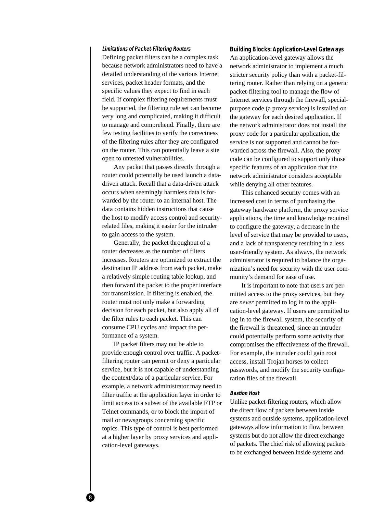#### **Limitations of Packet-Filtering Routers**

Defining packet filters can be a complex task because network administrators need to have a detailed understanding of the various Internet services, packet header formats, and the specific values they expect to find in each field. If complex filtering requirements must be supported, the filtering rule set can become very long and complicated, making it difficult to manage and comprehend. Finally, there are few testing facilities to verify the correctness of the filtering rules after they are configured on the router. This can potentially leave a site open to untested vulnerabilities.

Any packet that passes directly through a router could potentially be used launch a datadriven attack. Recall that a data-driven attack occurs when seemingly harmless data is forwarded by the router to an internal host. The data contains hidden instructions that cause the host to modify access control and securityrelated files, making it easier for the intruder to gain access to the system.

Generally, the packet throughput of a router decreases as the number of filters increases. Routers are optimized to extract the destination IP address from each packet, make a relatively simple routing table lookup, and then forward the packet to the proper interface for transmission. If filtering is enabled, the router must not only make a forwarding decision for each packet, but also apply all of the filter rules to each packet. This can consume CPU cycles and impact the performance of a system.

IP packet filters may not be able to provide enough control over traffic. A packetfiltering router can permit or deny a particular service, but it is not capable of understanding the context/data of a particular service. For example, a network administrator may need to filter traffic at the application layer in order to limit access to a subset of the available FTP or Telnet commands, or to block the import of mail or newsgroups concerning specific topics. This type of control is best performed at a higher layer by proxy services and application-level gateways.

**8**

**Building Blocks: Application-Level Gateways** An application-level gateway allows the network administrator to implement a much stricter security policy than with a packet-filtering router. Rather than relying on a generic packet-filtering tool to manage the flow of Internet services through the firewall, specialpurpose code (a proxy service) is installed on the gateway for each desired application. If the network administrator does not install the proxy code for a particular application, the service is not supported and cannot be forwarded across the firewall. Also, the proxy code can be configured to support only those specific features of an application that the network administrator considers acceptable while denying all other features.

This enhanced security comes with an increased cost in terms of purchasing the gateway hardware platform, the proxy service applications, the time and knowledge required to configure the gateway, a decrease in the level of service that may be provided to users, and a lack of transparency resulting in a less user-friendly system. As always, the network administrator is required to balance the organization's need for security with the user community's demand for ease of use.

It is important to note that users are permitted access to the proxy services, but they are *never* permitted to log in to the application-level gateway. If users are permitted to log in to the firewall system, the security of the firewall is threatened, since an intruder could potentially perform some activity that compromises the effectiveness of the firewall. For example, the intruder could gain root access, install Trojan horses to collect passwords, and modify the security configuration files of the firewall.

## **Bastion Host**

Unlike packet-filtering routers, which allow the direct flow of packets between inside systems and outside systems, application-level gateways allow information to flow between systems but do not allow the direct exchange of packets. The chief risk of allowing packets to be exchanged between inside systems and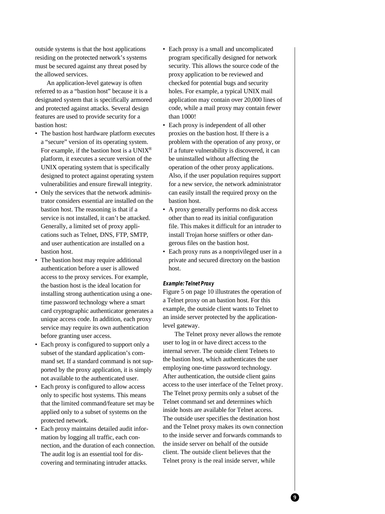outside systems is that the host applications residing on the protected network's systems must be secured against any threat posed by the allowed services.

An application-level gateway is often referred to as a "bastion host" because it is a designated system that is specifically armored and protected against attacks. Several design features are used to provide security for a bastion host:

- The bastion host hardware platform executes a "secure" version of its operating system. For example, if the bastion host is a UNIX® platform, it executes a secure version of the UNIX operating system that is specifically designed to protect against operating system vulnerabilities and ensure firewall integrity.
- Only the services that the network administrator considers essential are installed on the bastion host. The reasoning is that if a service is not installed, it can't be attacked. Generally, a limited set of proxy applications such as Telnet, DNS, FTP, SMTP, and user authentication are installed on a bastion host.
- The bastion host may require additional authentication before a user is allowed access to the proxy services. For example, the bastion host is the ideal location for installing strong authentication using a onetime password technology where a smart card cryptographic authenticator generates a unique access code. In addition, each proxy service may require its own authentication before granting user access.
- Each proxy is configured to support only a subset of the standard application's command set. If a standard command is not supported by the proxy application, it is simply not available to the authenticated user.
- Each proxy is configured to allow access only to specific host systems. This means that the limited command/feature set may be applied only to a subset of systems on the protected network.
- Each proxy maintains detailed audit information by logging all traffic, each connection, and the duration of each connection. The audit log is an essential tool for discovering and terminating intruder attacks.
- Each proxy is a small and uncomplicated program specifically designed for network security. This allows the source code of the proxy application to be reviewed and checked for potential bugs and security holes. For example, a typical UNIX mail application may contain over 20,000 lines of code, while a mail proxy may contain fewer than 1000!
- Each proxy is independent of all other proxies on the bastion host. If there is a problem with the operation of any proxy, or if a future vulnerability is discovered, it can be uninstalled without affecting the operation of the other proxy applications. Also, if the user population requires support for a new service, the network administrator can easily install the required proxy on the bastion host.
- A proxy generally performs no disk access other than to read its initial configuration file. This makes it difficult for an intruder to install Trojan horse sniffers or other dangerous files on the bastion host.
- Each proxy runs as a nonprivileged user in a private and secured directory on the bastion host.

#### **Example: Telnet Proxy**

Figure 5 on page 10 illustrates the operation of a Telnet proxy on an bastion host. For this example, the outside client wants to Telnet to an inside server protected by the applicationlevel gateway.

The Telnet proxy never allows the remote user to log in or have direct access to the internal server. The outside client Telnets to the bastion host, which authenticates the user employing one-time password technology. After authentication, the outside client gains access to the user interface of the Telnet proxy. The Telnet proxy permits only a subset of the Telnet command set and determines which inside hosts are available for Telnet access. The outside user specifies the destination host and the Telnet proxy makes its own connection to the inside server and forwards commands to the inside server on behalf of the outside client. The outside client believes that the Telnet proxy is the real inside server, while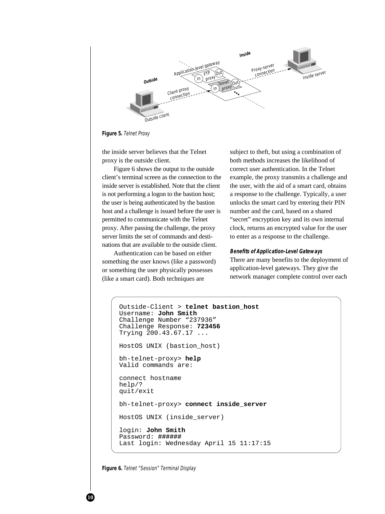

**Figure 5.** Telnet Proxy

the inside server believes that the Telnet proxy is the outside client.

Figure 6 shows the output to the outside client's terminal screen as the connection to the inside server is established. Note that the client is not performing a logon to the bastion host; the user is being authenticated by the bastion host and a challenge is issued before the user is permitted to communicate with the Telnet proxy. After passing the challenge, the proxy server limits the set of commands and destinations that are available to the outside client.

Authentication can be based on either something the user knows (like a password) or something the user physically possesses (like a smart card). Both techniques are

subject to theft, but using a combination of both methods increases the likelihood of correct user authentication. In the Telnet example, the proxy transmits a challenge and the user, with the aid of a smart card, obtains a response to the challenge. Typically, a user unlocks the smart card by entering their PIN number and the card, based on a shared "secret" encryption key and its own internal clock, returns an encrypted value for the user to enter as a response to the challenge.

#### **Benefits of Application-Level Gateways**

There are many benefits to the deployment of application-level gateways. They give the network manager complete control over each

```
Outside-Client > telnet bastion_host

Username: John Smith

Challenge Number "237936"

Challenge Response: 723456

Trying 200.43.67.17 ...

HostOS UNIX (bastion_host)

bh-telnet-proxy> help

Valid commands are:

connect hostname

help/?

quit/exit

bh-telnet-proxy> connect inside_server

HostOS UNIX (inside_server)

login: John Smith

Password: ######

Last login: Wednesday April 15 11:17:15
```
**Figure 6.** Telnet "Session" Terminal Display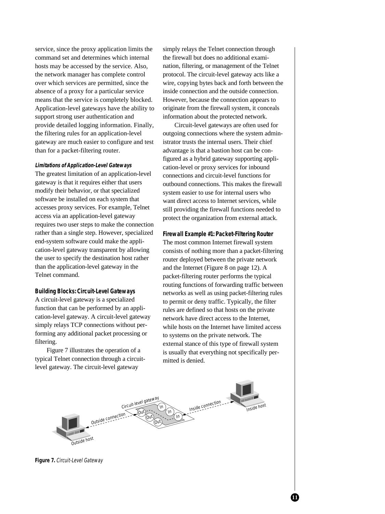service, since the proxy application limits the command set and determines which internal hosts may be accessed by the service. Also, the network manager has complete control over which services are permitted, since the absence of a proxy for a particular service means that the service is completely blocked. Application-level gateways have the ability to support strong user authentication and provide detailed logging information. Finally, the filtering rules for an application-level gateway are much easier to configure and test than for a packet-filtering router.

**Limitations of Application-Level Gateways**

The greatest limitation of an application-level gateway is that it requires either that users modify their behavior, or that specialized software be installed on each system that accesses proxy services. For example, Telnet access via an application-level gateway requires two user steps to make the connection rather than a single step. However, specialized end-system software could make the application-level gateway transparent by allowing the user to specify the destination host rather than the application-level gateway in the Telnet command.

**Building Blocks: Circuit-Level Gateways** A circuit-level gateway is a specialized function that can be performed by an application-level gateway. A circuit-level gateway simply relays TCP connections without performing any additional packet processing or filtering.

Figure 7 illustrates the operation of a typical Telnet connection through a circuitlevel gateway. The circuit-level gateway

simply relays the Telnet connection through the firewall but does no additional examination, filtering, or management of the Telnet protocol. The circuit-level gateway acts like a wire, copying bytes back and forth between the inside connection and the outside connection. However, because the connection appears to originate from the firewall system, it conceals information about the protected network.

Circuit-level gateways are often used for outgoing connections where the system administrator trusts the internal users. Their chief advantage is that a bastion host can be configured as a hybrid gateway supporting application-level or proxy services for inbound connections and circuit-level functions for outbound connections. This makes the firewall system easier to use for internal users who want direct access to Internet services, while still providing the firewall functions needed to protect the organization from external attack.

**Firewall Example #1: Packet-Filtering Router** The most common Internet firewall system consists of nothing more than a packet-filtering router deployed between the private network and the Internet (Figure 8 on page 12). A packet-filtering router performs the typical routing functions of forwarding traffic between networks as well as using packet-filtering rules to permit or deny traffic. Typically, the filter rules are defined so that hosts on the private network have direct access to the Internet, while hosts on the Internet have limited access to systems on the private network. The external stance of this type of firewall system is usually that everything not specifically permitted is denied.



**Figure 7.** Circuit-Level Gateway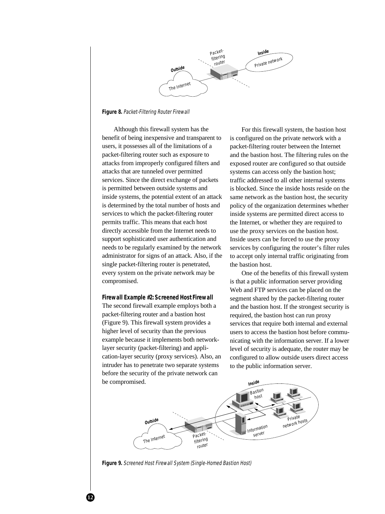

**Figure 8.** Packet-Filtering Router Firewall

Although this firewall system has the benefit of being inexpensive and transparent to users, it possesses all of the limitations of a packet-filtering router such as exposure to attacks from improperly configured filters and attacks that are tunneled over permitted services. Since the direct exchange of packets is permitted between outside systems and inside systems, the potential extent of an attack is determined by the total number of hosts and services to which the packet-filtering router permits traffic. This means that each host directly accessible from the Internet needs to support sophisticated user authentication and needs to be regularly examined by the network administrator for signs of an attack. Also, if the single packet-filtering router is penetrated, every system on the private network may be compromised.

**Firewall Example #2: Screened Host Firewall** The second firewall example employs both a packet-filtering router and a bastion host (Figure 9). This firewall system provides a higher level of security than the previous example because it implements both networklayer security (packet-filtering) and application-layer security (proxy services). Also, an intruder has to penetrate two separate systems before the security of the private network can be compromised.

For this firewall system, the bastion host is configured on the private network with a packet-filtering router between the Internet and the bastion host. The filtering rules on the exposed router are configured so that outside systems can access only the bastion host; traffic addressed to all other internal systems is blocked. Since the inside hosts reside on the same network as the bastion host, the security policy of the organization determines whether inside systems are permitted direct access to the Internet, or whether they are required to use the proxy services on the bastion host. Inside users can be forced to use the proxy services by configuring the router's filter rules to accept only internal traffic originating from the bastion host.

One of the benefits of this firewall system is that a public information server providing Web and FTP services can be placed on the segment shared by the packet-filtering router and the bastion host. If the strongest security is required, the bastion host can run proxy services that require both internal and external users to access the bastion host before communicating with the information server. If a lower level of security is adequate, the router may be configured to allow outside users direct access to the public information server.



**Figure 9.** Screened Host Firewall System (Single-Homed Bastion Host)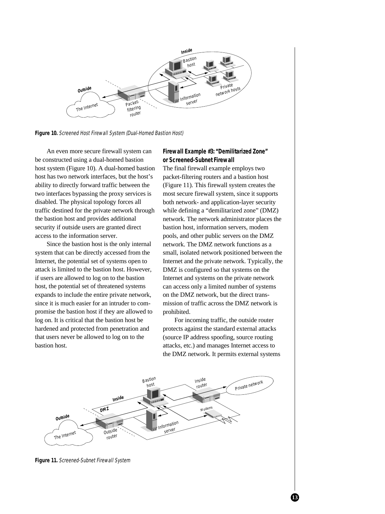

**Figure 10.** Screened Host Firewall System (Dual-Homed Bastion Host)

An even more secure firewall system can be constructed using a dual-homed bastion host system (Figure 10). A dual-homed bastion host has two network interfaces, but the host's ability to directly forward traffic between the two interfaces bypassing the proxy services is disabled. The physical topology forces all traffic destined for the private network through the bastion host and provides additional security if outside users are granted direct access to the information server.

Since the bastion host is the only internal system that can be directly accessed from the Internet, the potential set of systems open to attack is limited to the bastion host. However, if users are allowed to log on to the bastion host, the potential set of threatened systems expands to include the entire private network, since it is much easier for an intruder to compromise the bastion host if they are allowed to log on. It is critical that the bastion host be hardened and protected from penetration and that users never be allowed to log on to the bastion host.

**Firewall Example #3: "Demilitarized Zone" or Screened-Subnet Firewall** The final firewall example employs two packet-filtering routers and a bastion host (Figure 11). This firewall system creates the most secure firewall system, since it supports both network- and application-layer security while defining a "demilitarized zone" (DMZ) network. The network administrator places the bastion host, information servers, modem pools, and other public servers on the DMZ network. The DMZ network functions as a small, isolated network positioned between the Internet and the private network. Typically, the DMZ is configured so that systems on the Internet and systems on the private network can access only a limited number of systems on the DMZ network, but the direct transmission of traffic across the DMZ network is prohibited.

For incoming traffic, the outside router protects against the standard external attacks (source IP address spoofing, source routing attacks, etc.) and manages Internet access to the DMZ network. It permits external systems



**Figure 11.** Screened-Subnet Firewall System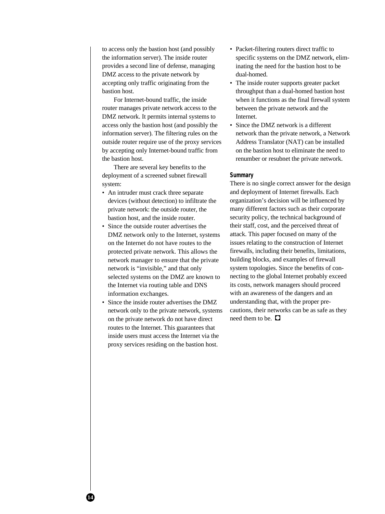to access only the bastion host (and possibly the information server). The inside router provides a second line of defense, managing DMZ access to the private network by accepting only traffic originating from the bastion host.

For Internet-bound traffic, the inside router manages private network access to the DMZ network. It permits internal systems to access only the bastion host (and possibly the information server). The filtering rules on the outside router require use of the proxy services by accepting only Internet-bound traffic from the bastion host.

There are several key benefits to the deployment of a screened subnet firewall system:

- An intruder must crack three separate devices (without detection) to infiltrate the private network: the outside router, the bastion host, and the inside router.
- Since the outside router advertises the DMZ network only to the Internet, systems on the Internet do not have routes to the protected private network. This allows the network manager to ensure that the private network is "invisible," and that only selected systems on the DMZ are known to the Internet via routing table and DNS information exchanges.
- Since the inside router advertises the DMZ network only to the private network, systems on the private network do not have direct routes to the Internet. This guarantees that inside users must access the Internet via the proxy services residing on the bastion host.
- Packet-filtering routers direct traffic to specific systems on the DMZ network, eliminating the need for the bastion host to be dual-homed.
- The inside router supports greater packet throughput than a dual-homed bastion host when it functions as the final firewall system between the private network and the Internet.
- Since the DMZ network is a different network than the private network, a Network Address Translator (NAT) can be installed on the bastion host to eliminate the need to renumber or resubnet the private network.

#### **Summary**

There is no single correct answer for the design and deployment of Internet firewalls. Each organization's decision will be influenced by many different factors such as their corporate security policy, the technical background of their staff, cost, and the perceived threat of attack. This paper focused on many of the issues relating to the construction of Internet firewalls, including their benefits, limitations, building blocks, and examples of firewall system topologies. Since the benefits of connecting to the global Internet probably exceed its costs, network managers should proceed with an awareness of the dangers and an understanding that, with the proper precautions, their networks can be as safe as they need them to be.  $\Box$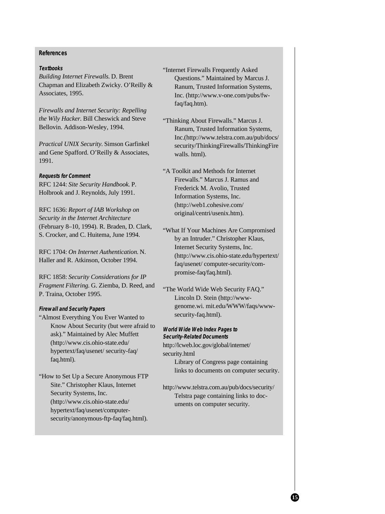## **References**

## **Textbooks**

*Building Internet Firewalls.* D. Brent Chapman and Elizabeth Zwicky. O'Reilly & Associates, 1995.

*Firewalls and Internet Security: Repelling the Wily Hacker.* Bill Cheswick and Steve Bellovin. Addison-Wesley, 1994.

*Practical UNIX Security.* Simson Garfinkel and Gene Spafford. O'Reilly & Associates, 1991.

**Requests for Comment** RFC 1244: *Site Security Handbook.* P. Holbrook and J. Reynolds, July 1991.

RFC 1636: *Report of IAB Workshop on Security in the Internet Architecture* (February 8–10, 1994). R. Braden, D. Clark, S. Crocker, and C. Huitema, June 1994.

RFC 1704: *On Internet Authentication.* N. Haller and R. Atkinson, October 1994.

RFC 1858: *Security Considerations for IP Fragment Filtering.* G. Ziemba, D. Reed, and P. Traina, October 1995.

#### **Firewall and Security Papers**

"Almost Everything You Ever Wanted to Know About Security (but were afraid to ask)." Maintained by Alec Muffett (http://www.cis.ohio-state.edu/ hypertext/faq/usenet/ security-faq/ faq.html).

"How to Set Up a Secure Anonymous FTP Site." Christopher Klaus, Internet Security Systems, Inc. (http://www.cis.ohio-state.edu/ hypertext/faq/usenet/computersecurity/anonymous-ftp-faq/faq.html). "Internet Firewalls Frequently Asked Questions." Maintained by Marcus J. Ranum, Trusted Information Systems, Inc. (http://www.v-one.com/pubs/fwfaq/faq.htm).

"Thinking About Firewalls." Marcus J. Ranum, Trusted Information Systems, Inc.(http://www.telstra.com.au/pub/docs/ security/ThinkingFirewalls/ThinkingFire walls. html).

"A Toolkit and Methods for Internet Firewalls." Marcus J. Ramus and Frederick M. Avolio, Trusted Information Systems, Inc. (http://web1.cohesive.com/ original/centri/usenix.htm).

"What If Your Machines Are Compromised by an Intruder." Christopher Klaus, Internet Security Systems, Inc. (http://www.cis.ohio-state.edu/hypertext/ faq/usenet/ computer-security/compromise-faq/faq.html).

"The World Wide Web Security FAQ." Lincoln D. Stein (http://wwwgenome.wi. mit.edu/WWW/faqs/wwwsecurity-faq.html).

**World Wide Web Index Pages to Security-Related Documents** http://lcweb.loc.gov/global/internet/ security.html Library of Congress page containing links to documents on computer security.

http://www.telstra.com.au/pub/docs/security/ Telstra page containing links to documents on computer security.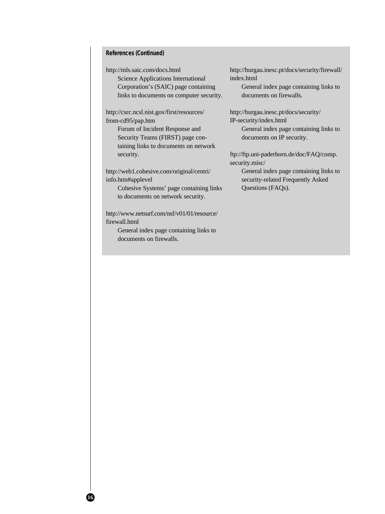# **References (Continued)**

http://mls.saic.com/docs.html Science Applications International Corporation's (SAIC) page containing links to documents on computer security.

http://csrc.ncsl.nist.gov/first/resources/ from-cd95/pap.htm

> Forum of Incident Response and Security Teams (FIRST) page containing links to documents on network security.

http://web1.cohesive.com/original/centri/ info.htm#applevel

Cohesive Systems' page containing links to documents on network security.

http://www.netsurf.com/nsf/v01/01/resource/ firewall.html

General index page containing links to documents on firewalls.

http://burgau.inesc.pt/docs/security/firewall/ index.html

General index page containing links to documents on firewalls.

http://burgau.inesc.pt/docs/security/ IP-security/index.html General index page containing links to

documents on IP security.

ftp://ftp.uni-paderborn.de/doc/FAQ/comp. security.misc/ General index page containing links to security-related Frequently Asked Questions (FAQs).